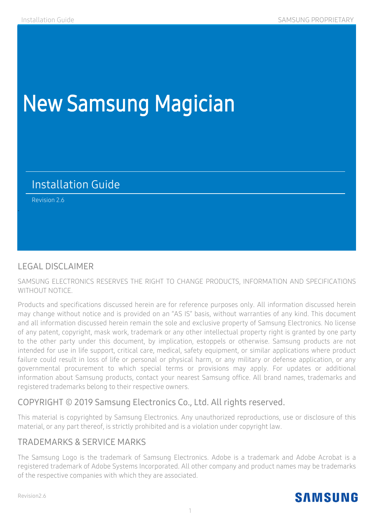## New Samsung Magician

## Installation Guide

Revision 2.6

.

#### LEGAL DISCLAIMER

SAMSUNG ELECTRONICS RESERVES THE RIGHT TO CHANGE PRODUCTS, INFORMATION AND SPECIFICATIONS WITHOUT NOTICE.

Products and specifications discussed herein are for reference purposes only. All information discussed herein may change without notice and is provided on an "AS IS" basis, without warranties of any kind. This document and all information discussed herein remain the sole and exclusive property of Samsung Electronics. No license of any patent, copyright, mask work, trademark or any other intellectual property right is granted by one party to the other party under this document, by implication, estoppels or otherwise. Samsung products are not intended for use in life support, critical care, medical, safety equipment, or similar applications where product failure could result in loss of life or personal or physical harm, or any military or defense application, or any governmental procurement to which special terms or provisions may apply. For updates or additional information about Samsung products, contact your nearest Samsung office. All brand names, trademarks and registered trademarks belong to their respective owners.

#### COPYRIGHT © 2019 Samsung Electronics Co., Ltd. All rights reserved.

This material is copyrighted by Samsung Electronics. Any unauthorized reproductions, use or disclosure of this material, or any part thereof, is strictly prohibited and is a violation under copyright law.

#### TRADEMARKS & SERVICE MARKS

The Samsung Logo is the trademark of Samsung Electronics. Adobe is a trademark and Adobe Acrobat is a registered trademark of Adobe Systems Incorporated. All other company and product names may be trademarks of the respective companies with which they are associated.

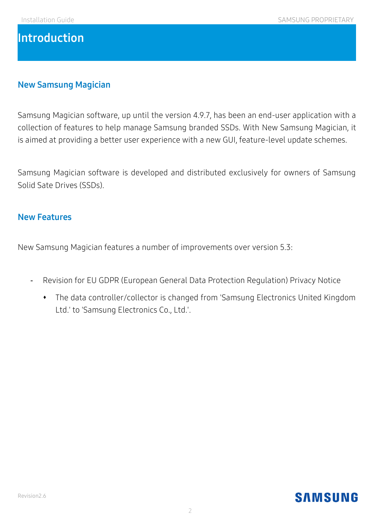## **Introduction**

#### **New Samsung Magician**

Samsung Magician software, up until the version 4.9.7, has been an end-user application with a collection of features to help manage Samsung branded SSDs. With New Samsung Magician, it is aimed at providing a better user experience with a new GUI, feature-level update schemes.

Samsung Magician software is developed and distributed exclusively for owners of Samsung Solid Sate Drives (SSDs).

#### **New Features**

New Samsung Magician features a number of improvements over version 5.3:

- Revision for EU GDPR (European General Data Protection Regulation) Privacy Notice
	- The data controller/collector is changed from 'Samsung Electronics United Kingdom Ltd.' to 'Samsung Electronics Co., Ltd.'.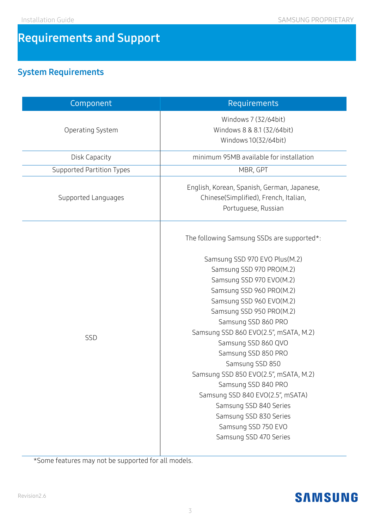## **Requirements and Support**

## **System Requirements**

| Component                 | Requirements                                                                                                                                                                                                                                                                                                                                                                                                                                                                                                                                                      |  |
|---------------------------|-------------------------------------------------------------------------------------------------------------------------------------------------------------------------------------------------------------------------------------------------------------------------------------------------------------------------------------------------------------------------------------------------------------------------------------------------------------------------------------------------------------------------------------------------------------------|--|
| Operating System          | Windows 7 (32/64bit)<br>Windows 8 & 8.1 (32/64bit)<br>Windows 10(32/64bit)                                                                                                                                                                                                                                                                                                                                                                                                                                                                                        |  |
| <b>Disk Capacity</b>      | minimum 95MB available for installation                                                                                                                                                                                                                                                                                                                                                                                                                                                                                                                           |  |
| Supported Partition Types | MBR, GPT                                                                                                                                                                                                                                                                                                                                                                                                                                                                                                                                                          |  |
| Supported Languages       | English, Korean, Spanish, German, Japanese,<br>Chinese(Simplified), French, Italian,<br>Portuguese, Russian                                                                                                                                                                                                                                                                                                                                                                                                                                                       |  |
| SSD                       | The following Samsung SSDs are supported*:<br>Samsung SSD 970 EVO Plus(M.2)<br>Samsung SSD 970 PRO(M.2)<br>Samsung SSD 970 EVO(M.2)<br>Samsung SSD 960 PRO(M.2)<br>Samsung SSD 960 EVO(M.2)<br>Samsung SSD 950 PRO(M.2)<br>Samsung SSD 860 PRO<br>Samsung SSD 860 EVO(2.5", mSATA, M.2)<br>Samsung SSD 860 QVO<br>Samsung SSD 850 PRO<br>Samsung SSD 850<br>Samsung SSD 850 EVO(2.5", mSATA, M.2)<br>Samsung SSD 840 PRO<br>Samsung SSD 840 EVO(2.5", mSATA)<br>Samsung SSD 840 Series<br>Samsung SSD 830 Series<br>Samsung SSD 750 EVO<br>Samsung SSD 470 Series |  |

\*Some features may not be supported for all models.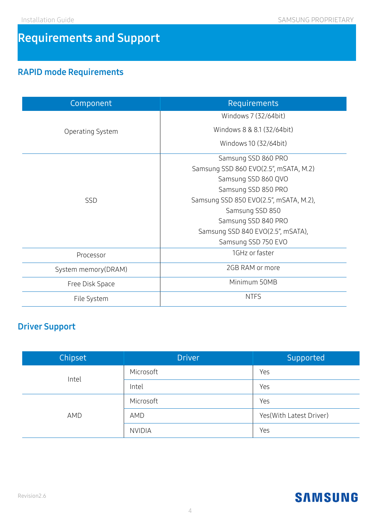## **Requirements and Support**

## **RAPID mode Requirements**

| Component           | Requirements                           |  |
|---------------------|----------------------------------------|--|
|                     | Windows 7 (32/64bit)                   |  |
| Operating System    | Windows 8 & 8.1 (32/64bit)             |  |
|                     | Windows 10 (32/64bit)                  |  |
|                     | Samsung SSD 860 PRO                    |  |
| <b>SSD</b>          | Samsung SSD 860 EVO(2.5", mSATA, M.2)  |  |
|                     | Samsung SSD 860 QVO                    |  |
|                     | Samsung SSD 850 PRO                    |  |
|                     | Samsung SSD 850 EVO(2.5", mSATA, M.2), |  |
|                     | Samsung SSD 850                        |  |
|                     | Samsung SSD 840 PRO                    |  |
|                     | Samsung SSD 840 EVO(2.5", mSATA),      |  |
|                     | Samsung SSD 750 EVO                    |  |
| Processor           | 1GHz or faster                         |  |
| System memory(DRAM) | 2GB RAM or more                        |  |
| Free Disk Space     | Minimum 50MB                           |  |
| File System         | <b>NTFS</b>                            |  |

## **Driver Support**

| Chipset | <b>Driver</b> | Supported               |
|---------|---------------|-------------------------|
| Intel   | Microsoft     | Yes                     |
|         | Intel         | Yes                     |
| AMD     | Microsoft     | Yes                     |
|         | AMD           | Yes(With Latest Driver) |
|         | <b>NVIDIA</b> | Yes                     |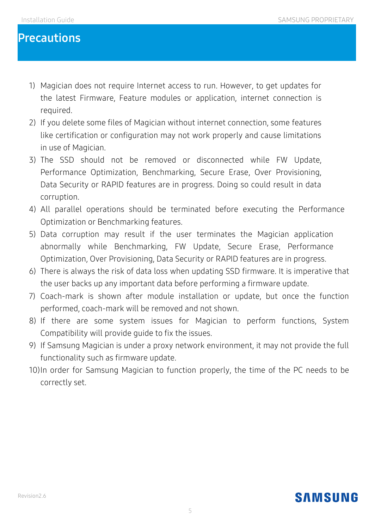## **Precautions**

- 1) Magician does not require Internet access to run. However, to get updates for the latest Firmware, Feature modules or application, internet connection is required.
- 2) If you delete some files of Magician without internet connection, some features like certification or configuration may not work properly and cause limitations in use of Magician.
- 3) The SSD should not be removed or disconnected while FW Update, Performance Optimization, Benchmarking, Secure Erase, Over Provisioning, Data Security or RAPID features are in progress. Doing so could result in data corruption.
- 4) All parallel operations should be terminated before executing the Performance Optimization or Benchmarking features.
- 5) Data corruption may result if the user terminates the Magician application abnormally while Benchmarking, FW Update, Secure Erase, Performance Optimization, Over Provisioning, Data Security or RAPID features are in progress.
- 6) There is always the risk of data loss when updating SSD firmware. It is imperative that the user backs up any important data before performing a firmware update.
- 7) Coach-mark is shown after module installation or update, but once the function performed, coach-mark will be removed and not shown.
- 8) If there are some system issues for Magician to perform functions, System Compatibility will provide guide to fix the issues.
- 9) If Samsung Magician is under a proxy network environment, it may not provide the full functionality such as firmware update.
- 10)In order for Samsung Magician to function properly, the time of the PC needs to be correctly set.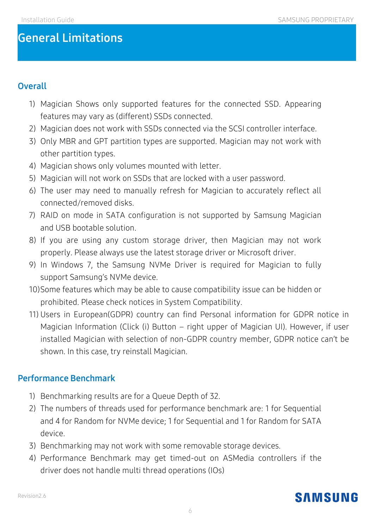## **General Limitations**

#### **Overall**

- 1) Magician Shows only supported features for the connected SSD. Appearing features may vary as (different) SSDs connected.
- 2) Magician does not work with SSDs connected via the SCSI controller interface.
- 3) Only MBR and GPT partition types are supported. Magician may not work with other partition types.
- 4) Magician shows only volumes mounted with letter.
- 5) Magician will not work on SSDs that are locked with a user password.
- 6) The user may need to manually refresh for Magician to accurately reflect all connected/removed disks.
- 7) RAID on mode in SATA configuration is not supported by Samsung Magician and USB bootable solution.
- 8) If you are using any custom storage driver, then Magician may not work properly. Please always use the latest storage driver or Microsoft driver.
- 9) In Windows 7, the Samsung NVMe Driver is required for Magician to fully support Samsung's NVMe device.
- 10)Some features which may be able to cause compatibility issue can be hidden or prohibited. Please check notices in System Compatibility.
- 11) Users in European(GDPR) country can find Personal information for GDPR notice in Magician Information (Click (i) Button – right upper of Magician UI). However, if user installed Magician with selection of non-GDPR country member, GDPR notice can't be shown. In this case, try reinstall Magician.

#### **Performance Benchmark**

- 1) Benchmarking results are for a Queue Depth of 32.
- 2) The numbers of threads used for performance benchmark are: 1 for Sequential and 4 for Random for NVMe device; 1 for Sequential and 1 for Random for SATA device.
- 3) Benchmarking may not work with some removable storage devices.
- 4) Performance Benchmark may get timed-out on ASMedia controllers if the driver does not handle multi thread operations (IOs)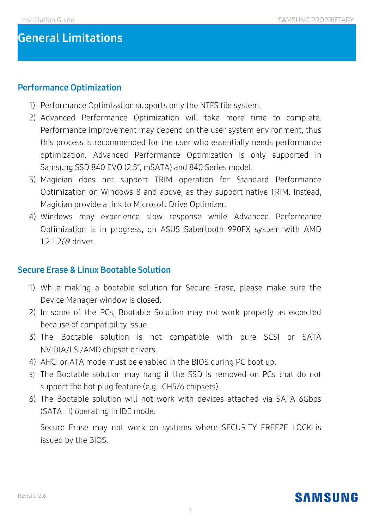## **General Limitations**

#### **Performance Optimization**

- 1) Performance Optimization supports only the NTFS file system.
- 2) Advanced Performance Optimization will take more time to complete. Performance improvement may depend on the user system environment, thus this process is recommended for the user who essentially needs performance optimization. Advanced Performance Optimization is only supported in Samsung SSD 840 EVO (2.5", mSATA) and 840 Series model.
- 3) Magician does not support TRIM operation for Standard Performance Optimization on Windows 8 and above, as they support native TRIM. Instead, Magician provide a link to Microsoft Drive Optimizer.
- 4) Windows may experience slow response while Advanced Performance Optimization is in progress, on ASUS Sabertooth 990FX system with AMD 1.2.1.269 driver.

#### **Secure Erase & Linux Bootable Solution**

- 1) While making a bootable solution for Secure Erase, please make sure the Device Manager window is closed.
- 2) In some of the PCs, Bootable Solution may not work properly as expected because of compatibility issue.
- 3) The Bootable solution is not compatible with pure SCSI or SATA NVIDIA/LSI/AMD chipset drivers.
- 4) AHCI or ATA mode must be enabled in the BIOS during PC boot up.
- 5) The Bootable solution may hang if the SSD is removed on PCs that do not support the hot plug feature (e.g. ICH5/6 chipsets).
- 6) The Bootable solution will not work with devices attached via SATA 6Gbps (SATA III) operating in IDE mode.

7) Secure Erase may not work on systems where SECURITY FREEZE LOCK is issued by the BIOS.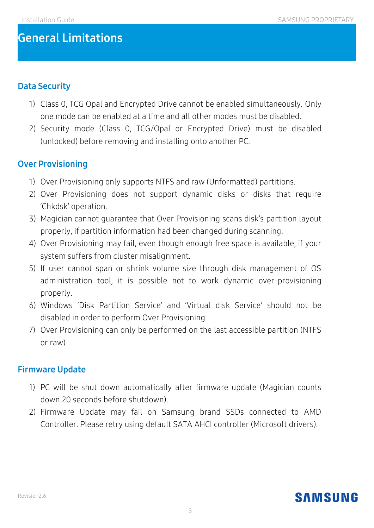## **General Limitations**

#### **Data Security**

- 1) Class 0, TCG Opal and Encrypted Drive cannot be enabled simultaneously. Only one mode can be enabled at a time and all other modes must be disabled.
- 2) Security mode (Class 0, TCG/Opal or Encrypted Drive) must be disabled (unlocked) before removing and installing onto another PC.

#### **Over Provisioning**

- 1) Over Provisioning only supports NTFS and raw (Unformatted) partitions.
- 2) Over Provisioning does not support dynamic disks or disks that require 'Chkdsk' operation.
- 3) Magician cannot guarantee that Over Provisioning scans disk's partition layout properly, if partition information had been changed during scanning.
- 4) Over Provisioning may fail, even though enough free space is available, if your system suffers from cluster misalignment.
- 5) If user cannot span or shrink volume size through disk management of OS administration tool, it is possible not to work dynamic over-provisioning properly.
- 6) Windows 'Disk Partition Service' and 'Virtual disk Service' should not be disabled in order to perform Over Provisioning.
- 7) Over Provisioning can only be performed on the last accessible partition (NTFS or raw)

#### **Firmware Update**

- 1) PC will be shut down automatically after firmware update (Magician counts down 20 seconds before shutdown).
- 2) Firmware Update may fail on Samsung brand SSDs connected to AMD Controller. Please retry using default SATA AHCI controller (Microsoft drivers).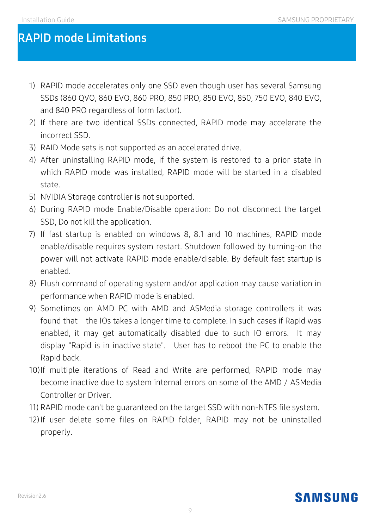## **RAPID mode Limitations**

- 1) RAPID mode accelerates only one SSD even though user has several Samsung SSDs (860 QVO, 860 EVO, 860 PRO, 850 PRO, 850 EVO, 850, 750 EVO, 840 EVO, and 840 PRO regardless of form factor).
- 2) If there are two identical SSDs connected, RAPID mode may accelerate the incorrect SSD.
- 3) RAID Mode sets is not supported as an accelerated drive.
- 4) After uninstalling RAPID mode, if the system is restored to a prior state in which RAPID mode was installed, RAPID mode will be started in a disabled state.
- 5) NVIDIA Storage controller is not supported.
- 6) During RAPID mode Enable/Disable operation: Do not disconnect the target SSD, Do not kill the application.
- 7) If fast startup is enabled on windows 8, 8.1 and 10 machines, RAPID mode enable/disable requires system restart. Shutdown followed by turning-on the power will not activate RAPID mode enable/disable. By default fast startup is enabled.
- 8) Flush command of operating system and/or application may cause variation in performance when RAPID mode is enabled.
- 9) Sometimes on AMD PC with AMD and ASMedia storage controllers it was found that the IOs takes a longer time to complete. In such cases if Rapid was enabled, it may get automatically disabled due to such IO errors. It may display "Rapid is in inactive state". User has to reboot the PC to enable the Rapid back.
- 10)If multiple iterations of Read and Write are performed, RAPID mode may become inactive due to system internal errors on some of the AMD / ASMedia Controller or Driver.
- 11) RAPID mode can't be guaranteed on the target SSD with non-NTFS file system.
- 12)If user delete some files on RAPID folder, RAPID may not be uninstalled properly.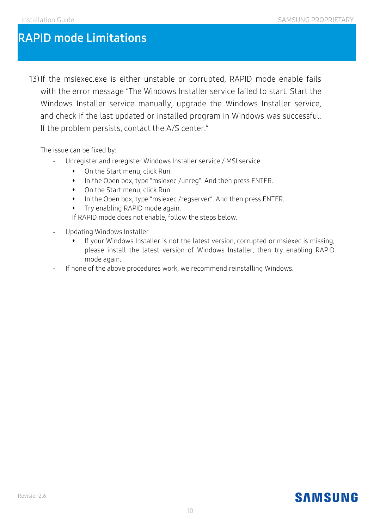## **RAPID mode Limitations**

13)If the msiexec.exe is either unstable or corrupted, RAPID mode enable fails with the error message "The Windows Installer service failed to start. Start the Windows Installer service manually, upgrade the Windows Installer service, and check if the last updated or installed program in Windows was successful. If the problem persists, contact the A/S center."

The issue can be fixed by:

- Unregister and reregister Windows Installer service / MSI service.
	- On the Start menu, click Run.
	- In the Open box, type "msiexec /unreg". And then press ENTER.
	- On the Start menu, click Run
	- In the Open box, type "msiexec /regserver". And then press ENTER.
	- **•** Try enabling RAPID mode again.

If RAPID mode does not enable, follow the steps below.

- Updating Windows Installer
	- If your Windows Installer is not the latest version, corrupted or msiexec is missing, please install the latest version of Windows Installer, then try enabling RAPID mode again.
- If none of the above procedures work, we recommend reinstalling Windows.

## **SAMSUNG**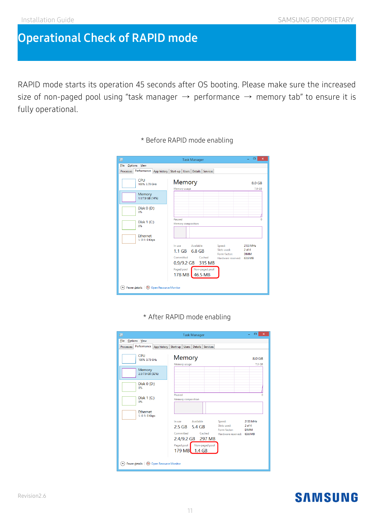## **Operational Check of RAPID mode**

RAPID mode starts its operation 45 seconds after OS booting. Please make sure the increased size of non-paged pool using "task manager  $\rightarrow$  performance  $\rightarrow$  memory tab" to ensure it is fully operational.

| 偄                                             | <b>Task Manager</b>                                                                                                                                                                                                 | $\Box$<br>$\boldsymbol{\mathsf{x}}$          |
|-----------------------------------------------|---------------------------------------------------------------------------------------------------------------------------------------------------------------------------------------------------------------------|----------------------------------------------|
| File Options View                             |                                                                                                                                                                                                                     |                                              |
| Performance   App history<br><b>Processes</b> | Start-up Users<br>Details Services                                                                                                                                                                                  |                                              |
| CPU<br>100% 3.70 GHz                          | Memory<br>Memory usage                                                                                                                                                                                              | 8.0 GB<br>7.9 GB                             |
| Memory<br>1.1/7.9 GB (14%)                    |                                                                                                                                                                                                                     |                                              |
| Disk $0($ D: $)$<br>0%                        |                                                                                                                                                                                                                     |                                              |
| Disk 1 (C:)<br>0%                             | Paused<br>Memory composition                                                                                                                                                                                        | n                                            |
| Ethernet<br>S: 0 R: 0 Kbps                    |                                                                                                                                                                                                                     |                                              |
|                                               | Available<br>Speed:<br>In use<br>Slots used:<br>$1.1$ GB 6.8 GB<br>Form factor:<br>Committed<br>Cached<br>Hardware reserved: 63.6 MB<br>$0.9/9.2$ GB<br>315 MB<br>Non-paged pool<br>Paged pool<br>46.5 MB<br>178 MB | 2133 MHz<br>2 <sub>of</sub> 4<br><b>DIMM</b> |
| A Fewer details   O Open Resource Monitor     |                                                                                                                                                                                                                     |                                              |

\* Before RAPID mode enabling

#### \* After RAPID mode enabling

| $\pmb{\times}$<br>▭<br>四<br><b>Task Manager</b>         |                                                                                                                                                                                                                        |                                       |  |
|---------------------------------------------------------|------------------------------------------------------------------------------------------------------------------------------------------------------------------------------------------------------------------------|---------------------------------------|--|
| Options View<br><b>Eile</b>                             |                                                                                                                                                                                                                        |                                       |  |
| Performance App history<br>Processes                    | Start-up<br>Users  <br><b>Details</b><br><b>Services</b>                                                                                                                                                               |                                       |  |
| CPU<br>100% 3.73 GHz                                    | Memory<br>Memory usage                                                                                                                                                                                                 | 8.0 GB<br>7.9 GB                      |  |
| Memory<br>2.5/7.9 GB (32%)                              |                                                                                                                                                                                                                        |                                       |  |
| Disk $0($ D: $)$<br>0%                                  | Paused                                                                                                                                                                                                                 | $\Omega$                              |  |
| Disk 1 (C:)<br>0%                                       | <b>Memory composition</b>                                                                                                                                                                                              |                                       |  |
| <b>Fthernet</b><br>S: 0 R: 0 Kbps                       |                                                                                                                                                                                                                        |                                       |  |
|                                                         | Available<br>In use<br>Speed:<br>Slots used:<br>2.5 GB 5.4 GB<br>Form factor:<br>Committed<br>Cached<br>Hardware reserved: 63.6 MB<br>2.4/9.2 GB 297 MB<br>Paged pool<br>Non-paged pool<br>1.4 <sub>GB</sub><br>179 MB | 2133 MHz<br>$2$ of $4$<br><b>DIMM</b> |  |
| Fewer details   (V) Open Resource Monitor<br>$(\wedge)$ |                                                                                                                                                                                                                        |                                       |  |